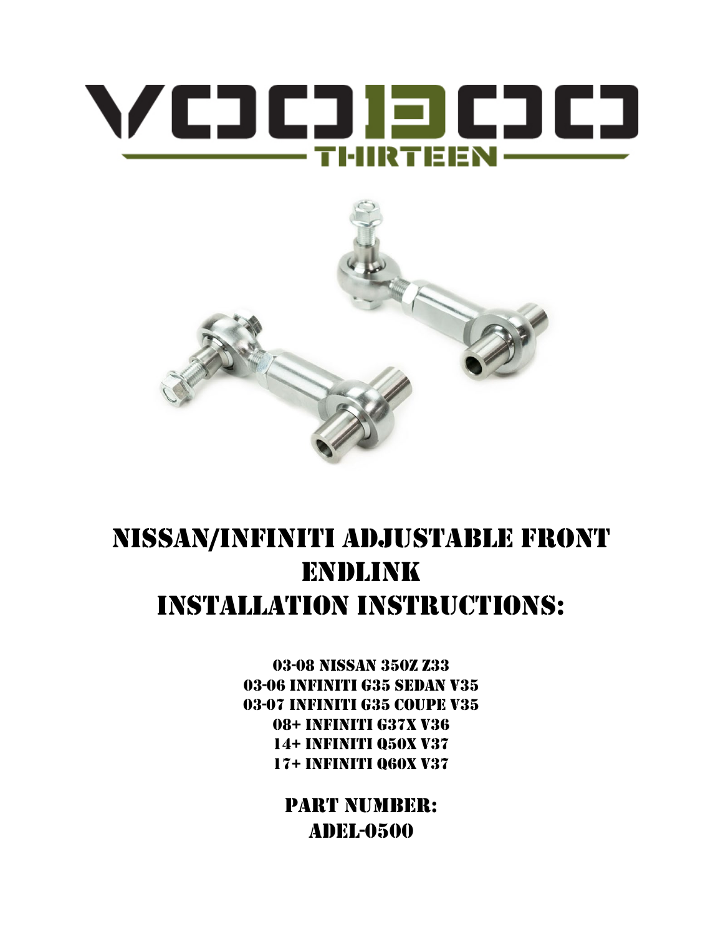# VCJCJEJCJCJ — THIRTEEN ——



## Nissan/Infiniti ADJUSTABLE front ENDLINK INSTALLATION INSTRUCTIONS:

03-08 NISSAN 350Z Z33 03-06 Infiniti g35 Sedan V35 03-07 Infiniti G35 Coupe V35 08+ Infiniti g37X V36 14+ Infiniti q50X v37 17+ Infiniti Q60X v37

> PART NUMBER: ADEL-0500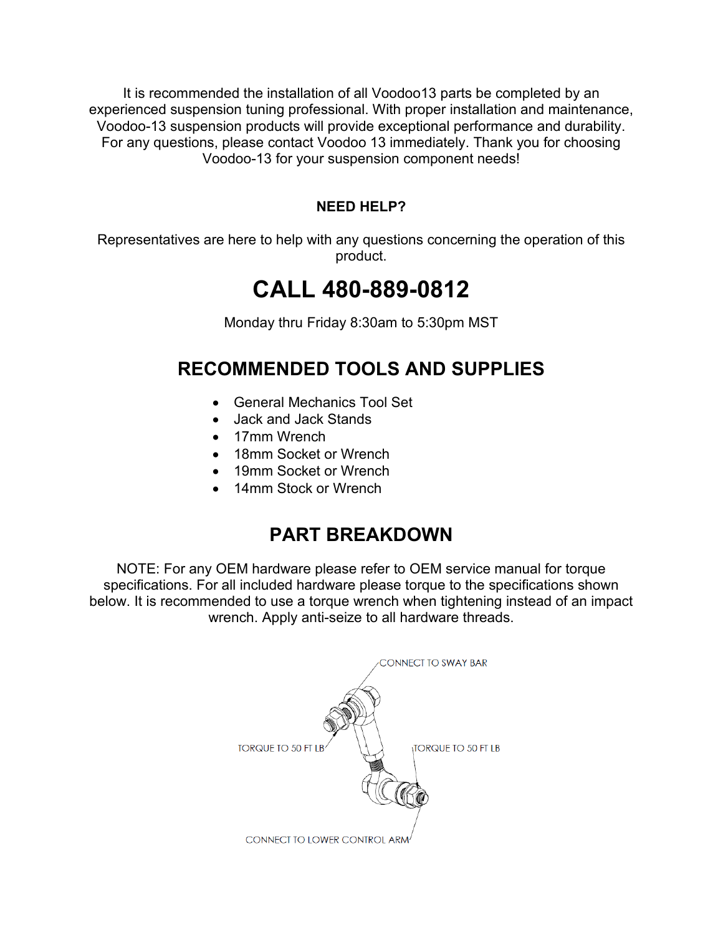It is recommended the installation of all Voodoo13 parts be completed by an experienced suspension tuning professional. With proper installation and maintenance, Voodoo-13 suspension products will provide exceptional performance and durability. For any questions, please contact Voodoo 13 immediately. Thank you for choosing Voodoo-13 for your suspension component needs!

#### **NEED HELP?**

Representatives are here to help with any questions concerning the operation of this product.

### **CALL 480-889-0812**

Monday thru Friday 8:30am to 5:30pm MST

#### **RECOMMENDED TOOLS AND SUPPLIES**

- General Mechanics Tool Set
- Jack and Jack Stands
- 17mm Wrench
- 18mm Socket or Wrench
- 19mm Socket or Wrench
- 14mm Stock or Wrench

#### **PART BREAKDOWN**

NOTE: For any OEM hardware please refer to OEM service manual for torque specifications. For all included hardware please torque to the specifications shown below. It is recommended to use a torque wrench when tightening instead of an impact wrench. Apply anti-seize to all hardware threads.

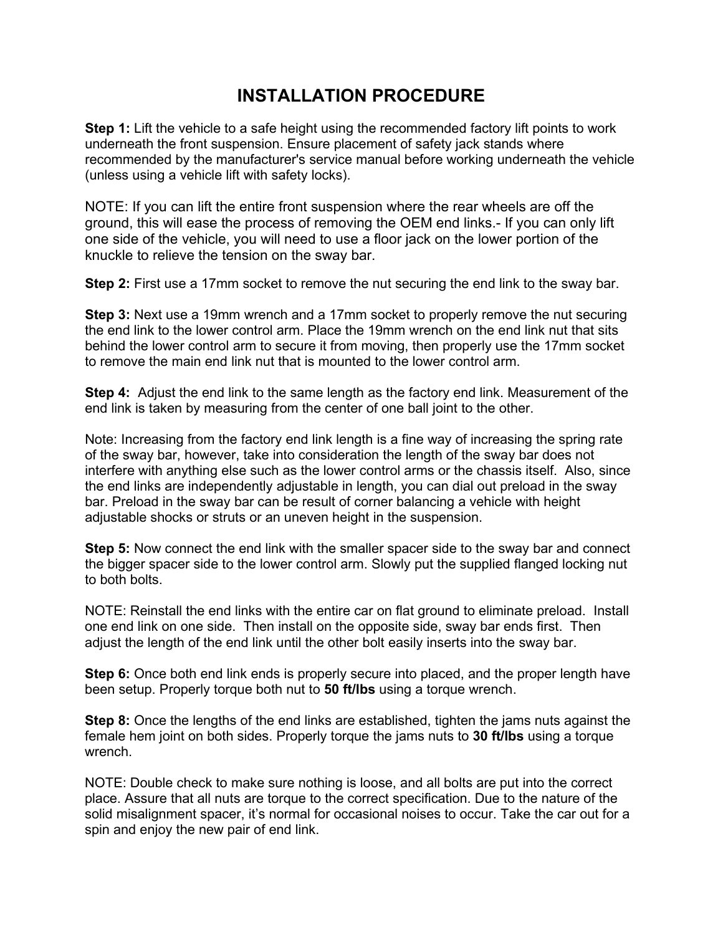#### **INSTALLATION PROCEDURE**

**Step 1:** Lift the vehicle to a safe height using the recommended factory lift points to work underneath the front suspension. Ensure placement of safety jack stands where recommended by the manufacturer's service manual before working underneath the vehicle (unless using a vehicle lift with safety locks).

NOTE: If you can lift the entire front suspension where the rear wheels are off the ground, this will ease the process of removing the OEM end links.- If you can only lift one side of the vehicle, you will need to use a floor jack on the lower portion of the knuckle to relieve the tension on the sway bar.

**Step 2:** First use a 17mm socket to remove the nut securing the end link to the sway bar.

**Step 3:** Next use a 19mm wrench and a 17mm socket to properly remove the nut securing the end link to the lower control arm. Place the 19mm wrench on the end link nut that sits behind the lower control arm to secure it from moving, then properly use the 17mm socket to remove the main end link nut that is mounted to the lower control arm.

**Step 4:** Adjust the end link to the same length as the factory end link. Measurement of the end link is taken by measuring from the center of one ball joint to the other.

Note: Increasing from the factory end link length is a fine way of increasing the spring rate of the sway bar, however, take into consideration the length of the sway bar does not interfere with anything else such as the lower control arms or the chassis itself. Also, since the end links are independently adjustable in length, you can dial out preload in the sway bar. Preload in the sway bar can be result of corner balancing a vehicle with height adjustable shocks or struts or an uneven height in the suspension.

**Step 5:** Now connect the end link with the smaller spacer side to the sway bar and connect the bigger spacer side to the lower control arm. Slowly put the supplied flanged locking nut to both bolts.

NOTE: Reinstall the end links with the entire car on flat ground to eliminate preload. Install one end link on one side. Then install on the opposite side, sway bar ends first. Then adjust the length of the end link until the other bolt easily inserts into the sway bar.

**Step 6:** Once both end link ends is properly secure into placed, and the proper length have been setup. Properly torque both nut to **50 ft/lbs** using a torque wrench.

**Step 8:** Once the lengths of the end links are established, tighten the jams nuts against the female hem joint on both sides. Properly torque the jams nuts to **30 ft/lbs** using a torque wrench.

NOTE: Double check to make sure nothing is loose, and all bolts are put into the correct place. Assure that all nuts are torque to the correct specification. Due to the nature of the solid misalignment spacer, it's normal for occasional noises to occur. Take the car out for a spin and enjoy the new pair of end link.